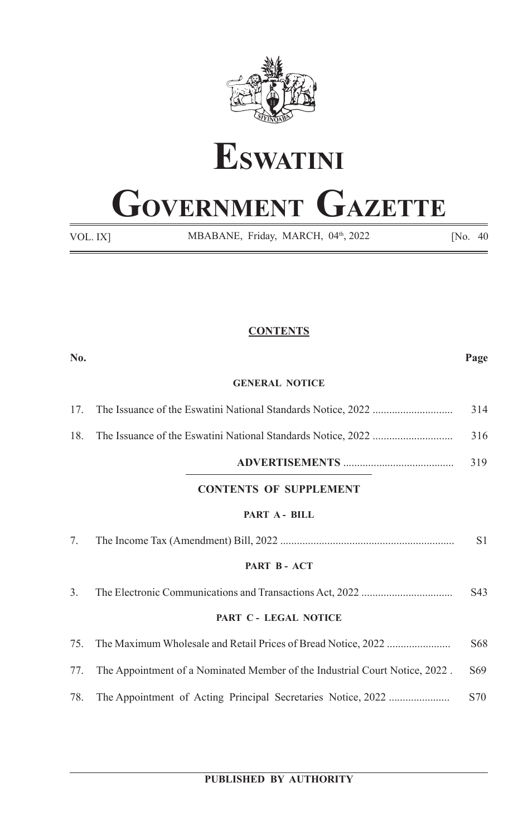



# **GOVERNMENT GAZETTE**

VOL. IX]

MBABANE, Friday, MARCH, 04<sup>th</sup>, 2022 [No. 40]

# **CONTENTS**

| No.                   |                                                                             | Page |
|-----------------------|-----------------------------------------------------------------------------|------|
| <b>GENERAL NOTICE</b> |                                                                             |      |
| 17.                   |                                                                             | 314  |
| 18.                   |                                                                             | 316  |
|                       |                                                                             | 319  |
|                       | <b>CONTENTS OF SUPPLEMENT</b>                                               |      |
| PART A - BILL         |                                                                             |      |
| 7.                    |                                                                             | S1   |
| PART B - ACT          |                                                                             |      |
| 3.                    |                                                                             | S43  |
| PART C - LEGAL NOTICE |                                                                             |      |
| 75.                   |                                                                             | S68  |
| 77.                   | The Appointment of a Nominated Member of the Industrial Court Notice, 2022. | S69  |
| 78.                   |                                                                             | S70  |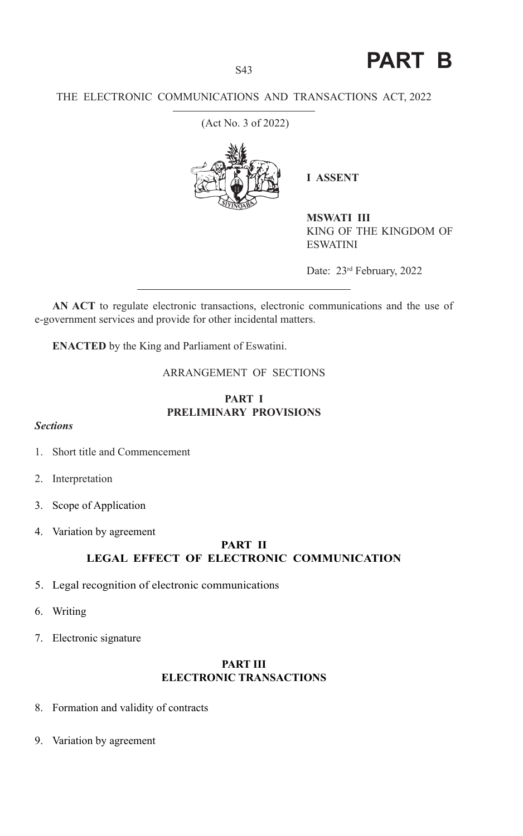**PART B**

## THE ELECTRONIC COMMUNICATIONS AND TRANSACTIONS ACT, 2022

(Act No. 3 of 2022)



**I ASSENT** 

**MSWATI III** KING OF THE KINGDOM OF ESWATINI

Date: 23<sup>rd</sup> February, 2022

**AN ACT** to regulate electronic transactions, electronic communications and the use of e-government services and provide for other incidental matters.

**ENACTED** by the King and Parliament of Eswatini.

# ARRANGEMENT OF SECTIONS

# **PART I PRELIMINARY PROVISIONS**

## *Sections*

- 1. Short title and Commencement
- 2. Interpretation
- 3. Scope of Application
- 4. Variation by agreement

## **PART II LEGAL EFFECT OF ELECTRONIC COMMUNICATION**

- 5. Legal recognition of electronic communications
- 6. Writing
- 7. Electronic signature

## **PART III ELECTRONIC TRANSACTIONS**

- 8. Formation and validity of contracts
- 9. Variation by agreement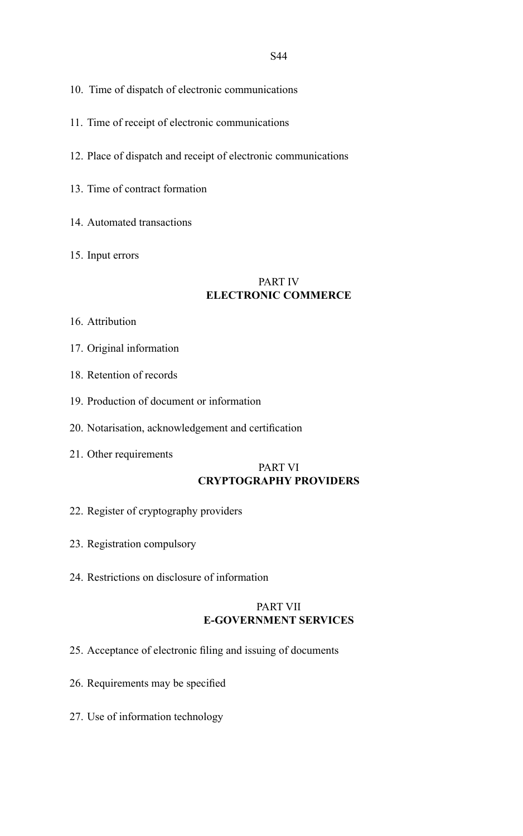- 10. Time of dispatch of electronic communications
- 11. Time of receipt of electronic communications
- 12. Place of dispatch and receipt of electronic communications
- 13. Time of contract formation
- 14. Automated transactions
- 15. Input errors

## PART IV **ELECTRONIC COMMERCE**

- 16. Attribution
- 17. Original information
- 18. Retention of records
- 19. Production of document or information
- 20. Notarisation, acknowledgement and certification
- 21. Other requirements

# PART VI **CRYPTOGRAPHY PROVIDERS**

- 22. Register of cryptography providers
- 23. Registration compulsory
- 24. Restrictions on disclosure of information

## PART VII **E-GOVERNMENT SERVICES**

- 25. Acceptance of electronic filing and issuing of documents
- 26. Requirements may be specified
- 27. Use of information technology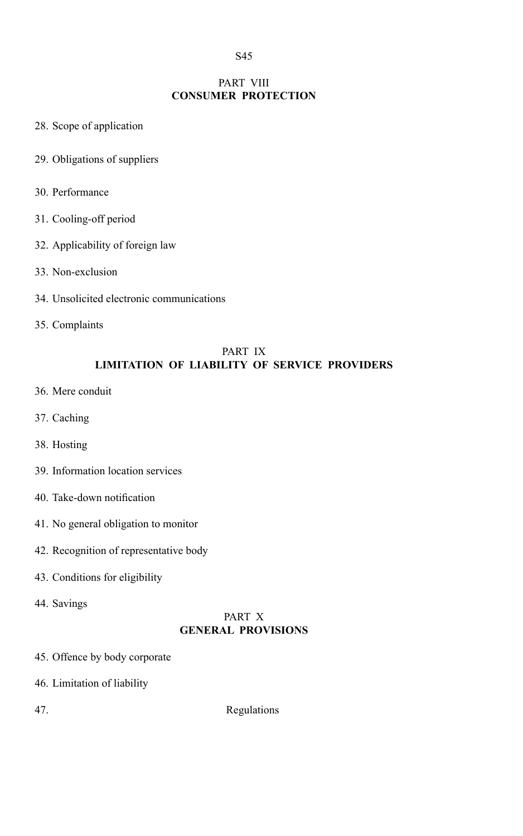# PART VIII **CONSUMER PROTECTION**

- 28. Scope of application
- 29. Obligations of suppliers
- 30. Performance
- 31. Cooling-off period
- 32. Applicability of foreign law
- 33. Non-exclusion
- 34. Unsolicited electronic communications
- 35. Complaints

## PART IX **LIMITATION OF LIABILITY OF SERVICE PROVIDERS**

- 36. Mere conduit
- 37. Caching
- 38. Hosting
- 39. Information location services
- 40. Take-down notification
- 41. No general obligation to monitor
- 42. Recognition of representative body
- 43. Conditions for eligibility
- 44. Savings

# PART X **GENERAL PROVISIONS**

- 45. Offence by body corporate
- 46. Limitation of liability
- 

47. Regulations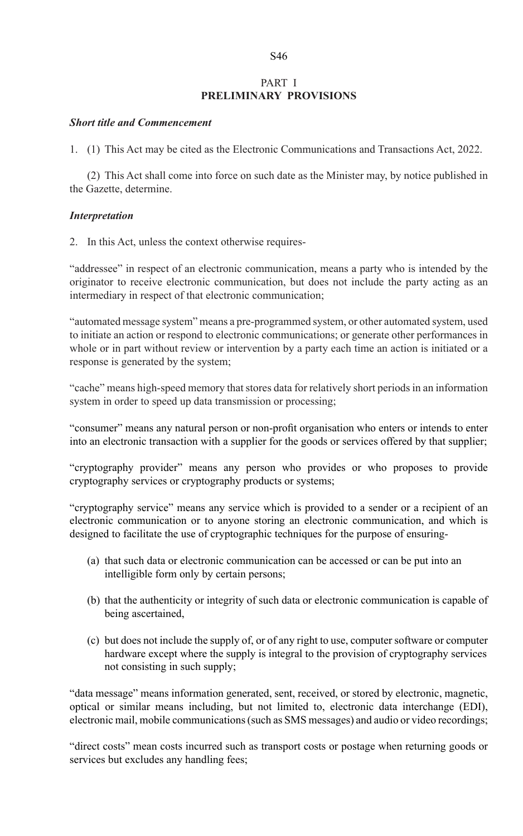# PART I **PRELIMINARY PROVISIONS**

## *Short title and Commencement*

1. (1) This Act may be cited as the Electronic Communications and Transactions Act, 2022.

(2) This Act shall come into force on such date as the Minister may, by notice published in the Gazette, determine.

## *Interpretation*

2. In this Act, unless the context otherwise requires-

"addressee" in respect of an electronic communication, means a party who is intended by the originator to receive electronic communication, but does not include the party acting as an intermediary in respect of that electronic communication;

"automated message system" means a pre-programmed system, or other automated system, used to initiate an action or respond to electronic communications; or generate other performances in whole or in part without review or intervention by a party each time an action is initiated or a response is generated by the system;

"cache" means high-speed memory that stores data for relatively short periods in an information system in order to speed up data transmission or processing;

"consumer" means any natural person or non-profit organisation who enters or intends to enter into an electronic transaction with a supplier for the goods or services offered by that supplier;

"cryptography provider" means any person who provides or who proposes to provide cryptography services or cryptography products or systems;

"cryptography service" means any service which is provided to a sender or a recipient of an electronic communication or to anyone storing an electronic communication, and which is designed to facilitate the use of cryptographic techniques for the purpose of ensuring-

- (a) that such data or electronic communication can be accessed or can be put into an intelligible form only by certain persons;
- (b) that the authenticity or integrity of such data or electronic communication is capable of being ascertained,
- (c) but does not include the supply of, or of any right to use, computer software or computer hardware except where the supply is integral to the provision of cryptography services not consisting in such supply;

"data message" means information generated, sent, received, or stored by electronic, magnetic, optical or similar means including, but not limited to, electronic data interchange (EDI), electronic mail, mobile communications (such as SMS messages) and audio or video recordings;

"direct costs" mean costs incurred such as transport costs or postage when returning goods or services but excludes any handling fees;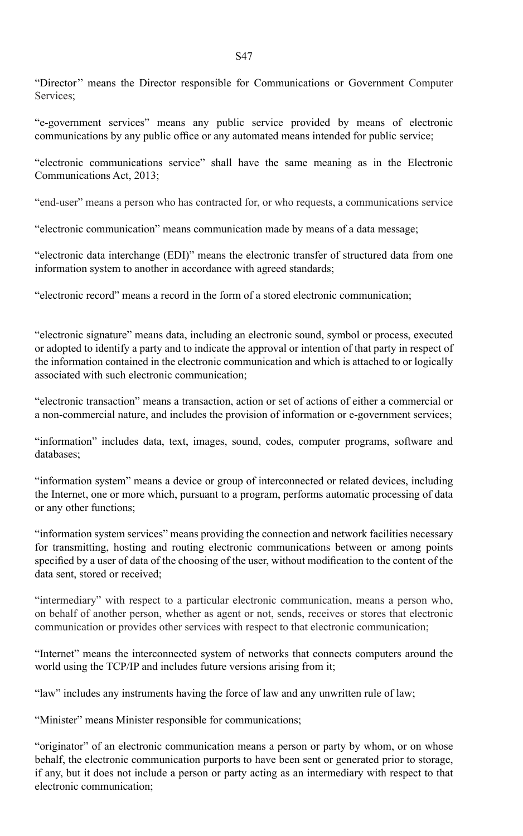"Director'' means the Director responsible for Communications or Government Computer Services:

"e-government services" means any public service provided by means of electronic communications by any public office or any automated means intended for public service;

"electronic communications service" shall have the same meaning as in the Electronic Communications Act, 2013;

"end-user" means a person who has contracted for, or who requests, a communications service

"electronic communication" means communication made by means of a data message;

"electronic data interchange (EDI)" means the electronic transfer of structured data from one information system to another in accordance with agreed standards;

"electronic record" means a record in the form of a stored electronic communication;

"electronic signature" means data, including an electronic sound, symbol or process, executed or adopted to identify a party and to indicate the approval or intention of that party in respect of the information contained in the electronic communication and which is attached to or logically associated with such electronic communication;

"electronic transaction" means a transaction, action or set of actions of either a commercial or a non-commercial nature, and includes the provision of information or e-government services;

"information" includes data, text, images, sound, codes, computer programs, software and databases;

"information system" means a device or group of interconnected or related devices, including the Internet, one or more which, pursuant to a program, performs automatic processing of data or any other functions;

"information system services" means providing the connection and network facilities necessary for transmitting, hosting and routing electronic communications between or among points specified by a user of data of the choosing of the user, without modification to the content of the data sent, stored or received;

"intermediary" with respect to a particular electronic communication, means a person who, on behalf of another person, whether as agent or not, sends, receives or stores that electronic communication or provides other services with respect to that electronic communication;

"Internet" means the interconnected system of networks that connects computers around the world using the TCP/IP and includes future versions arising from it;

"law" includes any instruments having the force of law and any unwritten rule of law;

"Minister" means Minister responsible for communications;

"originator" of an electronic communication means a person or party by whom, or on whose behalf, the electronic communication purports to have been sent or generated prior to storage, if any, but it does not include a person or party acting as an intermediary with respect to that electronic communication;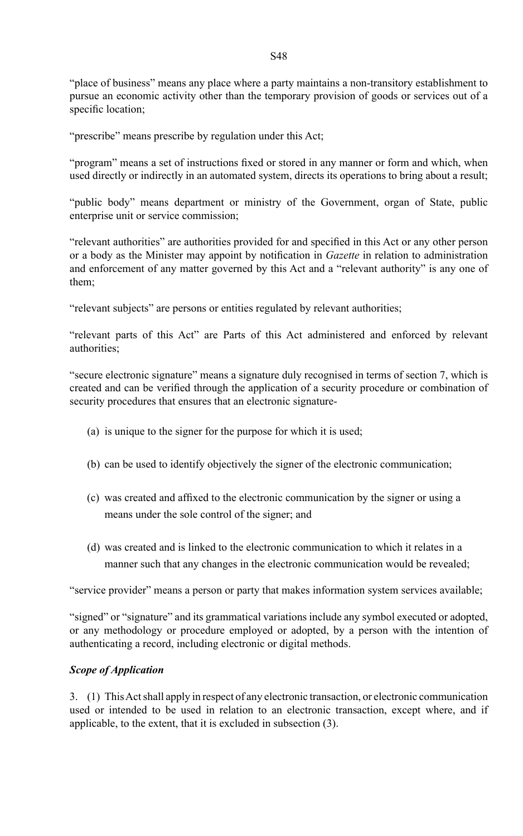"place of business" means any place where a party maintains a non-transitory establishment to pursue an economic activity other than the temporary provision of goods or services out of a specific location;

"prescribe" means prescribe by regulation under this Act;

"program" means a set of instructions fixed or stored in any manner or form and which, when used directly or indirectly in an automated system, directs its operations to bring about a result;

"public body" means department or ministry of the Government, organ of State, public enterprise unit or service commission;

"relevant authorities" are authorities provided for and specified in this Act or any other person or a body as the Minister may appoint by notification in *Gazette* in relation to administration and enforcement of any matter governed by this Act and a "relevant authority" is any one of them;

"relevant subjects" are persons or entities regulated by relevant authorities;

"relevant parts of this Act" are Parts of this Act administered and enforced by relevant authorities;

"secure electronic signature" means a signature duly recognised in terms of section 7, which is created and can be verified through the application of a security procedure or combination of security procedures that ensures that an electronic signature-

- (a) is unique to the signer for the purpose for which it is used;
- (b) can be used to identify objectively the signer of the electronic communication;
- (c) was created and affixed to the electronic communication by the signer or using a means under the sole control of the signer; and
- (d) was created and is linked to the electronic communication to which it relates in a manner such that any changes in the electronic communication would be revealed;

"service provider" means a person or party that makes information system services available;

"signed" or "signature" and its grammatical variations include any symbol executed or adopted, or any methodology or procedure employed or adopted, by a person with the intention of authenticating a record, including electronic or digital methods.

## *Scope of Application*

3. (1) This Act shall apply in respect of any electronic transaction, or electronic communication used or intended to be used in relation to an electronic transaction, except where, and if applicable, to the extent, that it is excluded in subsection (3).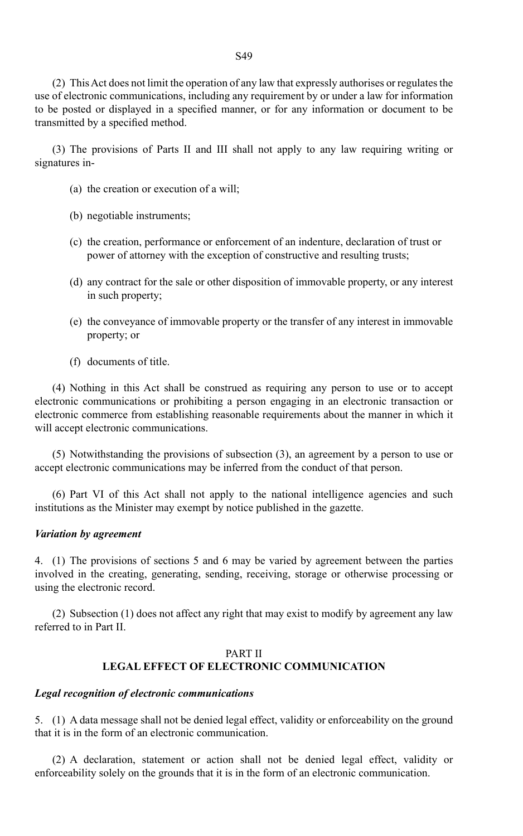(2) This Act does not limit the operation of any law that expressly authorises or regulates the use of electronic communications, including any requirement by or under a law for information to be posted or displayed in a specified manner, or for any information or document to be transmitted by a specified method.

(3) The provisions of Parts II and III shall not apply to any law requiring writing or signatures in-

- (a) the creation or execution of a will;
- (b) negotiable instruments;
- (c) the creation, performance or enforcement of an indenture, declaration of trust or power of attorney with the exception of constructive and resulting trusts;
- (d) any contract for the sale or other disposition of immovable property, or any interest in such property;
- (e) the conveyance of immovable property or the transfer of any interest in immovable property; or
- (f) documents of title.

(4) Nothing in this Act shall be construed as requiring any person to use or to accept electronic communications or prohibiting a person engaging in an electronic transaction or electronic commerce from establishing reasonable requirements about the manner in which it will accept electronic communications.

(5) Notwithstanding the provisions of subsection (3), an agreement by a person to use or accept electronic communications may be inferred from the conduct of that person.

(6) Part VI of this Act shall not apply to the national intelligence agencies and such institutions as the Minister may exempt by notice published in the gazette.

#### *Variation by agreement*

4. (1) The provisions of sections 5 and 6 may be varied by agreement between the parties involved in the creating, generating, sending, receiving, storage or otherwise processing or using the electronic record.

(2) Subsection (1) does not affect any right that may exist to modify by agreement any law referred to in Part II.

## PART II **LEGAL EFFECT OF ELECTRONIC COMMUNICATION**

#### *Legal recognition of electronic communications*

5. (1) A data message shall not be denied legal effect, validity or enforceability on the ground that it is in the form of an electronic communication.

(2) A declaration, statement or action shall not be denied legal effect, validity or enforceability solely on the grounds that it is in the form of an electronic communication.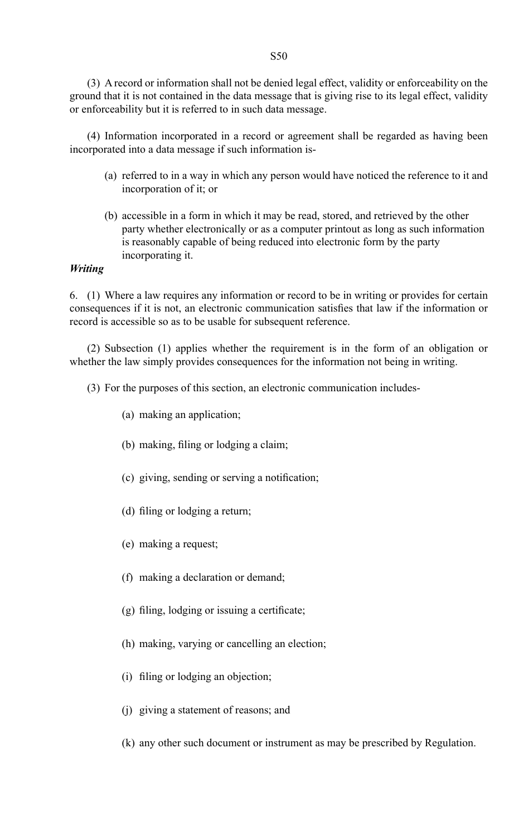(3) A record or information shall not be denied legal effect, validity or enforceability on the ground that it is not contained in the data message that is giving rise to its legal effect, validity or enforceability but it is referred to in such data message.

(4) Information incorporated in a record or agreement shall be regarded as having been incorporated into a data message if such information is-

- (a) referred to in a way in which any person would have noticed the reference to it and incorporation of it; or
- (b) accessible in a form in which it may be read, stored, and retrieved by the other party whether electronically or as a computer printout as long as such information is reasonably capable of being reduced into electronic form by the party incorporating it.

# *Writing*

6. (1) Where a law requires any information or record to be in writing or provides for certain consequences if it is not, an electronic communication satisfies that law if the information or record is accessible so as to be usable for subsequent reference.

(2) Subsection (1) applies whether the requirement is in the form of an obligation or whether the law simply provides consequences for the information not being in writing.

- (3) For the purposes of this section, an electronic communication includes-
	- (a) making an application;
	- (b) making, filing or lodging a claim;
	- (c) giving, sending or serving a notification;
	- (d) filing or lodging a return;
	- (e) making a request;
	- (f) making a declaration or demand;
	- $(g)$  filing, lodging or issuing a certificate;
	- (h) making, varying or cancelling an election;
	- (i) filing or lodging an objection;
	- (j) giving a statement of reasons; and
	- (k) any other such document or instrument as may be prescribed by Regulation.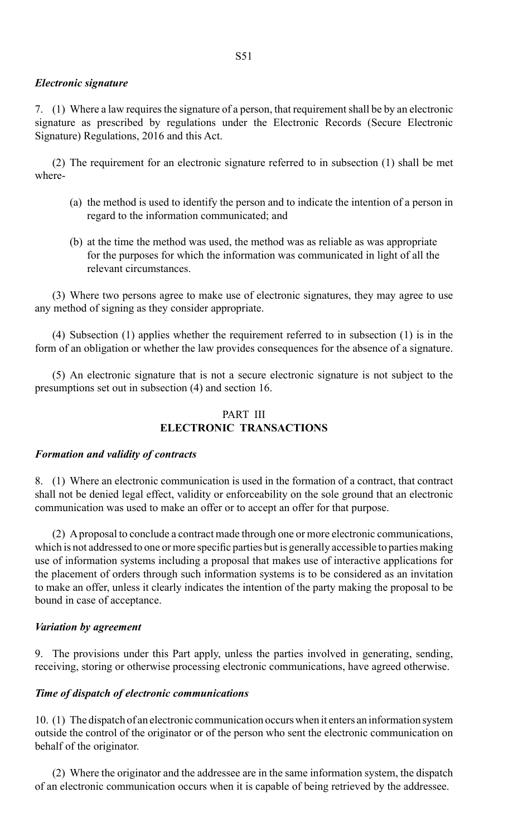## *Electronic signature*

7. (1) Where a law requires the signature of a person, that requirement shall be by an electronic signature as prescribed by regulations under the Electronic Records (Secure Electronic Signature) Regulations, 2016 and this Act.

(2) The requirement for an electronic signature referred to in subsection (1) shall be met where-

- (a) the method is used to identify the person and to indicate the intention of a person in regard to the information communicated; and
- (b) at the time the method was used, the method was as reliable as was appropriate for the purposes for which the information was communicated in light of all the relevant circumstances.

(3) Where two persons agree to make use of electronic signatures, they may agree to use any method of signing as they consider appropriate.

(4) Subsection (1) applies whether the requirement referred to in subsection (1) is in the form of an obligation or whether the law provides consequences for the absence of a signature.

(5) An electronic signature that is not a secure electronic signature is not subject to the presumptions set out in subsection (4) and section 16.

# PART III **ELECTRONIC TRANSACTIONS**

## *Formation and validity of contracts*

8. (1) Where an electronic communication is used in the formation of a contract, that contract shall not be denied legal effect, validity or enforceability on the sole ground that an electronic communication was used to make an offer or to accept an offer for that purpose.

(2) A proposal to conclude a contract made through one or more electronic communications, which is not addressed to one or more specific parties but is generally accessible to parties making use of information systems including a proposal that makes use of interactive applications for the placement of orders through such information systems is to be considered as an invitation to make an offer, unless it clearly indicates the intention of the party making the proposal to be bound in case of acceptance.

## *Variation by agreement*

9. The provisions under this Part apply, unless the parties involved in generating, sending, receiving, storing or otherwise processing electronic communications, have agreed otherwise.

## *Time of dispatch of electronic communications*

10. (1) The dispatch of an electronic communication occurs when it enters an information system outside the control of the originator or of the person who sent the electronic communication on behalf of the originator.

(2) Where the originator and the addressee are in the same information system, the dispatch of an electronic communication occurs when it is capable of being retrieved by the addressee.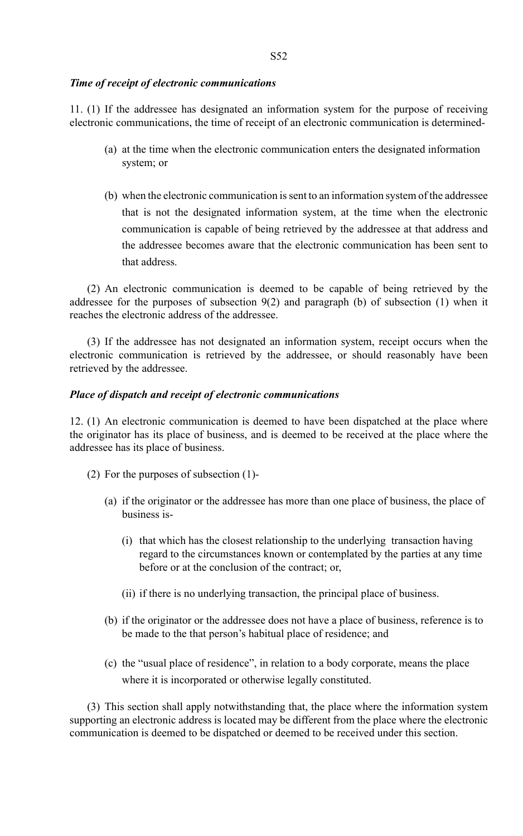## *Time of receipt of electronic communications*

11. (1) If the addressee has designated an information system for the purpose of receiving electronic communications, the time of receipt of an electronic communication is determined-

- (a) at the time when the electronic communication enters the designated information system; or
- (b) when the electronic communication is sent to an information system of the addressee that is not the designated information system, at the time when the electronic communication is capable of being retrieved by the addressee at that address and the addressee becomes aware that the electronic communication has been sent to that address.

(2) An electronic communication is deemed to be capable of being retrieved by the addressee for the purposes of subsection  $9(2)$  and paragraph (b) of subsection (1) when it reaches the electronic address of the addressee.

(3) If the addressee has not designated an information system, receipt occurs when the electronic communication is retrieved by the addressee, or should reasonably have been retrieved by the addressee.

## *Place of dispatch and receipt of electronic communications*

12. (1) An electronic communication is deemed to have been dispatched at the place where the originator has its place of business, and is deemed to be received at the place where the addressee has its place of business.

- (2) For the purposes of subsection (1)-
	- (a) if the originator or the addressee has more than one place of business, the place of business is-
		- (i) that which has the closest relationship to the underlying transaction having regard to the circumstances known or contemplated by the parties at any time before or at the conclusion of the contract; or,
		- (ii) if there is no underlying transaction, the principal place of business.
	- (b) if the originator or the addressee does not have a place of business, reference is to be made to the that person's habitual place of residence; and
	- (c) the "usual place of residence", in relation to a body corporate, means the place where it is incorporated or otherwise legally constituted.

(3) This section shall apply notwithstanding that, the place where the information system supporting an electronic address is located may be different from the place where the electronic communication is deemed to be dispatched or deemed to be received under this section.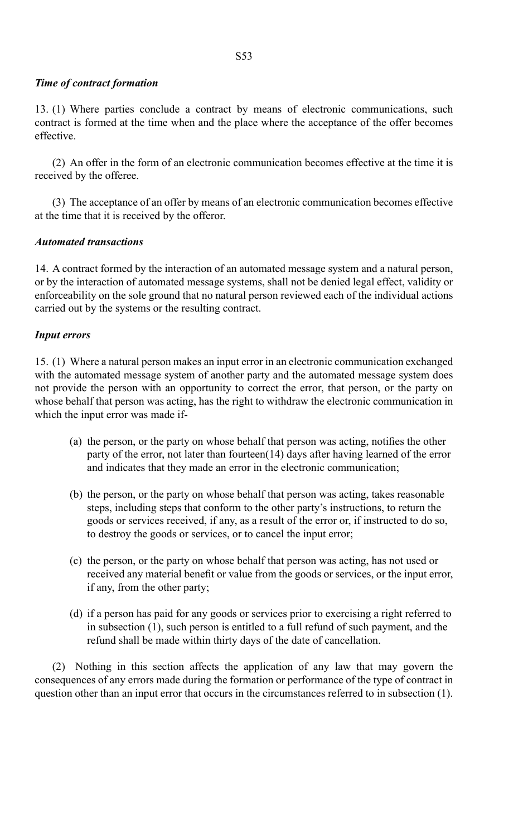## *Time of contract formation*

13. (1) Where parties conclude a contract by means of electronic communications, such contract is formed at the time when and the place where the acceptance of the offer becomes effective.

(2) An offer in the form of an electronic communication becomes effective at the time it is received by the offeree.

(3) The acceptance of an offer by means of an electronic communication becomes effective at the time that it is received by the offeror.

## *Automated transactions*

14. A contract formed by the interaction of an automated message system and a natural person, or by the interaction of automated message systems, shall not be denied legal effect, validity or enforceability on the sole ground that no natural person reviewed each of the individual actions carried out by the systems or the resulting contract.

## *Input errors*

15. (1) Where a natural person makes an input error in an electronic communication exchanged with the automated message system of another party and the automated message system does not provide the person with an opportunity to correct the error, that person, or the party on whose behalf that person was acting, has the right to withdraw the electronic communication in which the input error was made if-

- (a) the person, or the party on whose behalf that person was acting, notifies the other party of the error, not later than fourteen(14) days after having learned of the error and indicates that they made an error in the electronic communication;
- (b) the person, or the party on whose behalf that person was acting, takes reasonable steps, including steps that conform to the other party's instructions, to return the goods or services received, if any, as a result of the error or, if instructed to do so, to destroy the goods or services, or to cancel the input error;
- (c) the person, or the party on whose behalf that person was acting, has not used or received any material benefit or value from the goods or services, or the input error, if any, from the other party;
- (d) if a person has paid for any goods or services prior to exercising a right referred to in subsection (1), such person is entitled to a full refund of such payment, and the refund shall be made within thirty days of the date of cancellation.

(2) Nothing in this section affects the application of any law that may govern the consequences of any errors made during the formation or performance of the type of contract in question other than an input error that occurs in the circumstances referred to in subsection (1).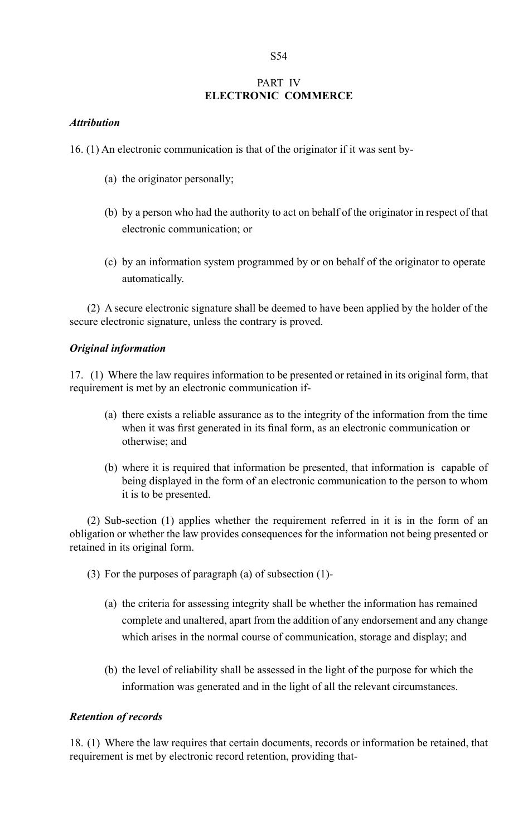# PART IV **ELECTRONIC COMMERCE**

## *Attribution*

16. (1) An electronic communication is that of the originator if it was sent by-

- (a) the originator personally;
- (b) by a person who had the authority to act on behalf of the originator in respect of that electronic communication; or
- (c) by an information system programmed by or on behalf of the originator to operate automatically.

(2) A secure electronic signature shall be deemed to have been applied by the holder of the secure electronic signature, unless the contrary is proved.

## *Original information*

17. (1) Where the law requires information to be presented or retained in its original form, that requirement is met by an electronic communication if-

- (a) there exists a reliable assurance as to the integrity of the information from the time when it was first generated in its final form, as an electronic communication or otherwise; and
- (b) where it is required that information be presented, that information is capable of being displayed in the form of an electronic communication to the person to whom it is to be presented.

(2) Sub-section (1) applies whether the requirement referred in it is in the form of an obligation or whether the law provides consequences for the information not being presented or retained in its original form.

- (3) For the purposes of paragraph (a) of subsection (1)-
	- (a) the criteria for assessing integrity shall be whether the information has remained complete and unaltered, apart from the addition of any endorsement and any change which arises in the normal course of communication, storage and display; and
	- (b) the level of reliability shall be assessed in the light of the purpose for which the information was generated and in the light of all the relevant circumstances.

## *Retention of records*

18. (1) Where the law requires that certain documents, records or information be retained, that requirement is met by electronic record retention, providing that-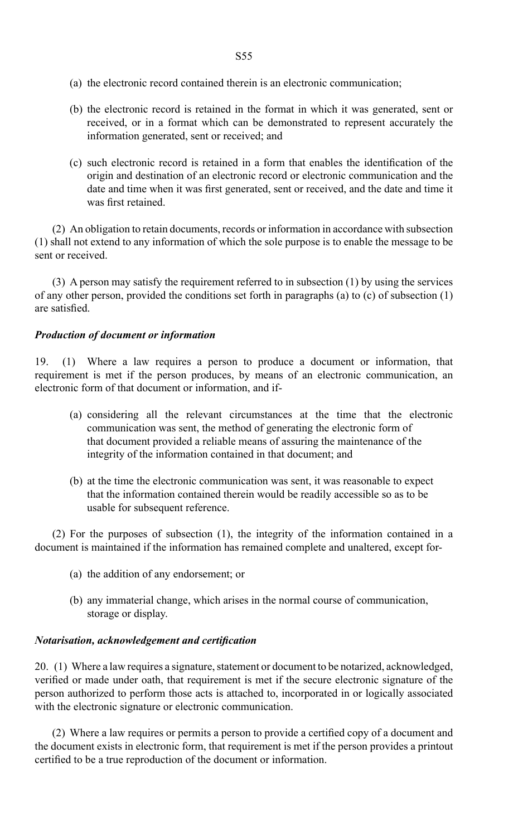- (a) the electronic record contained therein is an electronic communication;
- (b) the electronic record is retained in the format in which it was generated, sent or received, or in a format which can be demonstrated to represent accurately the information generated, sent or received; and
- (c) such electronic record is retained in a form that enables the identification of the origin and destination of an electronic record or electronic communication and the date and time when it was first generated, sent or received, and the date and time it was first retained.

(2) An obligation to retain documents, records or information in accordance with subsection (1) shall not extend to any information of which the sole purpose is to enable the message to be sent or received.

(3) A person may satisfy the requirement referred to in subsection (1) by using the services of any other person, provided the conditions set forth in paragraphs (a) to (c) of subsection (1) are satisfied.

# *Production of document or information*

19. (1) Where a law requires a person to produce a document or information, that requirement is met if the person produces, by means of an electronic communication, an electronic form of that document or information, and if-

- (a) considering all the relevant circumstances at the time that the electronic communication was sent, the method of generating the electronic form of that document provided a reliable means of assuring the maintenance of the integrity of the information contained in that document; and
- (b) at the time the electronic communication was sent, it was reasonable to expect that the information contained therein would be readily accessible so as to be usable for subsequent reference.

(2) For the purposes of subsection (1), the integrity of the information contained in a document is maintained if the information has remained complete and unaltered, except for-

- (a) the addition of any endorsement; or
- (b) any immaterial change, which arises in the normal course of communication, storage or display.

# *Notarisation, acknowledgement and certification*

20. (1) Where a law requires a signature, statement or document to be notarized, acknowledged, verified or made under oath, that requirement is met if the secure electronic signature of the person authorized to perform those acts is attached to, incorporated in or logically associated with the electronic signature or electronic communication.

 (2) Where a law requires or permits a person to provide a certified copy of a document and the document exists in electronic form, that requirement is met if the person provides a printout certified to be a true reproduction of the document or information.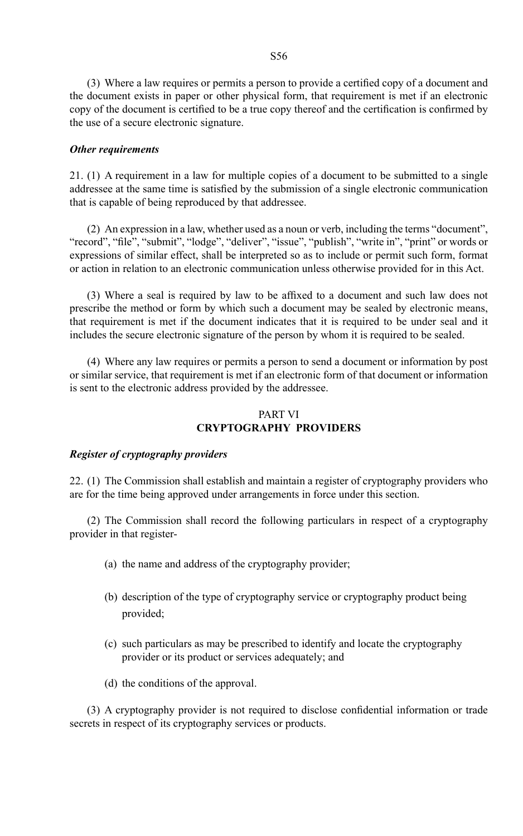(3) Where a law requires or permits a person to provide a certified copy of a document and the document exists in paper or other physical form, that requirement is met if an electronic copy of the document is certified to be a true copy thereof and the certification is confirmed by the use of a secure electronic signature.

#### *Other requirements*

21. (1) A requirement in a law for multiple copies of a document to be submitted to a single addressee at the same time is satisfied by the submission of a single electronic communication that is capable of being reproduced by that addressee.

(2) An expression in a law, whether used as a noun or verb, including the terms "document", "record", "file", "submit", "lodge", "deliver", "issue", "publish", "write in", "print" or words or expressions of similar effect, shall be interpreted so as to include or permit such form, format or action in relation to an electronic communication unless otherwise provided for in this Act.

 (3) Where a seal is required by law to be affixed to a document and such law does not prescribe the method or form by which such a document may be sealed by electronic means, that requirement is met if the document indicates that it is required to be under seal and it includes the secure electronic signature of the person by whom it is required to be sealed.

(4) Where any law requires or permits a person to send a document or information by post or similar service, that requirement is met if an electronic form of that document or information is sent to the electronic address provided by the addressee.

# PART VI **CRYPTOGRAPHY PROVIDERS**

#### *Register of cryptography providers*

22. (1) The Commission shall establish and maintain a register of cryptography providers who are for the time being approved under arrangements in force under this section.

(2) The Commission shall record the following particulars in respect of a cryptography provider in that register-

- (a) the name and address of the cryptography provider;
- (b) description of the type of cryptography service or cryptography product being provided;
- (c) such particulars as may be prescribed to identify and locate the cryptography provider or its product or services adequately; and
- (d) the conditions of the approval.

 (3) A cryptography provider is not required to disclose confidential information or trade secrets in respect of its cryptography services or products.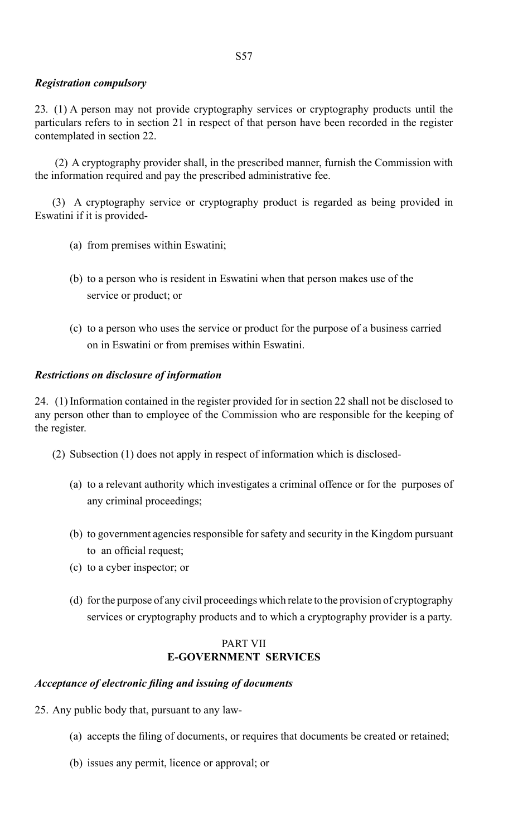# *Registration compulsory*

23*.* (1) A person may not provide cryptography services or cryptography products until the particulars refers to in section 21 in respect of that person have been recorded in the register contemplated in section 22.

 (2) A cryptography provider shall, in the prescribed manner, furnish the Commission with the information required and pay the prescribed administrative fee.

(3) A cryptography service or cryptography product is regarded as being provided in Eswatini if it is provided-

- (a) from premises within Eswatini;
- (b) to a person who is resident in Eswatini when that person makes use of the service or product; or
- (c) to a person who uses the service or product for the purpose of a business carried on in Eswatini or from premises within Eswatini.

## *Restrictions on disclosure of information*

24. (1)Information contained in the register provided for in section 22 shall not be disclosed to any person other than to employee of the Commission who are responsible for the keeping of the register.

- (2) Subsection (1) does not apply in respect of information which is disclosed-
	- (a) to a relevant authority which investigates a criminal offence or for the purposes of any criminal proceedings;
	- (b) to government agencies responsible for safety and security in the Kingdom pursuant to an official request;
	- (c) to a cyber inspector; or
	- (d) for the purpose of any civil proceedings which relate to the provision of cryptography services or cryptography products and to which a cryptography provider is a party.

## PART VII **E-GOVERNMENT SERVICES**

# *Acceptance of electronic filing and issuing of documents*

25. Any public body that, pursuant to any law-

- (a) accepts the filing of documents, or requires that documents be created or retained;
- (b) issues any permit, licence or approval; or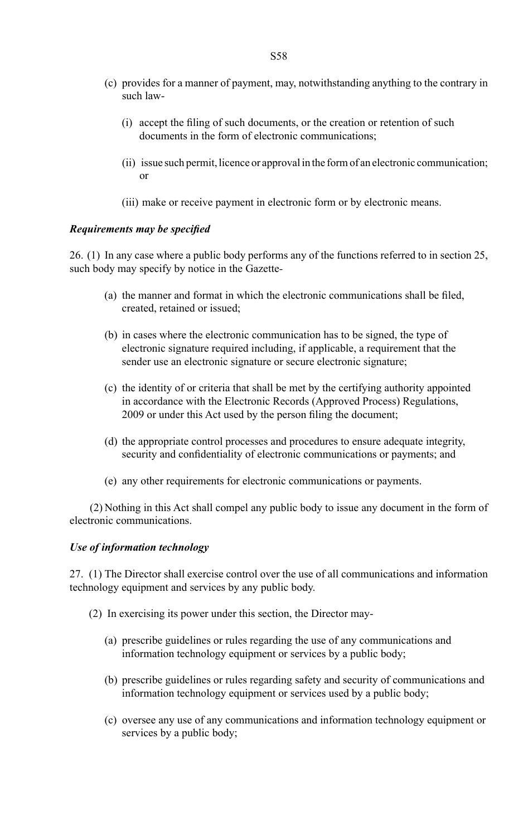- (c) provides for a manner of payment, may, notwithstanding anything to the contrary in such law-
	- (i) accept the filing of such documents, or the creation or retention of such documents in the form of electronic communications;
- (ii) issue such permit, licence or approval in the form of an electronic communication; or
	- (iii) make or receive payment in electronic form or by electronic means.

## *Requirements may be specified*

26. (1) In any case where a public body performs any of the functions referred to in section 25, such body may specify by notice in the Gazette*-* 

- (a) the manner and format in which the electronic communications shall be filed, created, retained or issued;
- (b) in cases where the electronic communication has to be signed, the type of electronic signature required including, if applicable, a requirement that the sender use an electronic signature or secure electronic signature;
- (c) the identity of or criteria that shall be met by the certifying authority appointed in accordance with the Electronic Records (Approved Process) Regulations, 2009 or under this Act used by the person filing the document;
- (d) the appropriate control processes and procedures to ensure adequate integrity, security and confidentiality of electronic communications or payments; and
- (e) any other requirements for electronic communications or payments.

 (2) Nothing in this Act shall compel any public body to issue any document in the form of electronic communications.

## *Use of information technology*

27. (1) The Director shall exercise control over the use of all communications and information technology equipment and services by any public body.

- (2) In exercising its power under this section, the Director may-
	- (a) prescribe guidelines or rules regarding the use of any communications and information technology equipment or services by a public body;
	- (b) prescribe guidelines or rules regarding safety and security of communications and information technology equipment or services used by a public body;
	- (c) oversee any use of any communications and information technology equipment or services by a public body;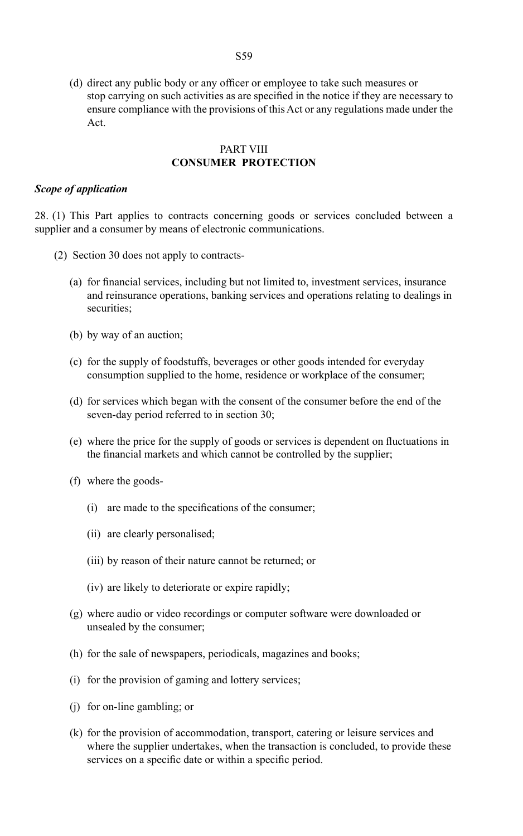(d) direct any public body or any officer or employee to take such measures or stop carrying on such activities as are specified in the notice if they are necessary to ensure compliance with the provisions of this Act or any regulations made under the Act.

## PART VIII **CONSUMER PROTECTION**

#### *Scope of application*

28. (1) This Part applies to contracts concerning goods or services concluded between a supplier and a consumer by means of electronic communications.

- (2) Section 30 does not apply to contracts-
	- (a) for financial services, including but not limited to, investment services, insurance and reinsurance operations, banking services and operations relating to dealings in securities:
	- (b) by way of an auction;
	- (c) for the supply of foodstuffs, beverages or other goods intended for everyday consumption supplied to the home, residence or workplace of the consumer;
	- (d) for services which began with the consent of the consumer before the end of the seven-day period referred to in section 30;
	- (e) where the price for the supply of goods or services is dependent on fluctuations in the financial markets and which cannot be controlled by the supplier;
	- (f) where the goods-
		- (i) are made to the specifications of the consumer;
		- (ii) are clearly personalised;
		- (iii) by reason of their nature cannot be returned; or
		- (iv) are likely to deteriorate or expire rapidly;
	- (g) where audio or video recordings or computer software were downloaded or unsealed by the consumer;
	- (h) for the sale of newspapers, periodicals, magazines and books;
	- (i) for the provision of gaming and lottery services;
	- (j) for on-line gambling; or
	- (k) for the provision of accommodation, transport, catering or leisure services and where the supplier undertakes, when the transaction is concluded, to provide these services on a specific date or within a specific period.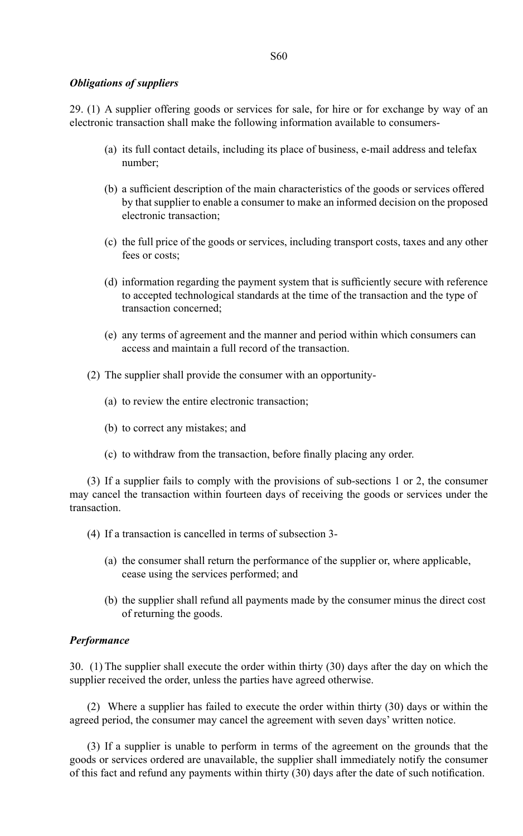#### *Obligations of suppliers*

29. (1) A supplier offering goods or services for sale, for hire or for exchange by way of an electronic transaction shall make the following information available to consumers-

- (a) its full contact details, including its place of business, e-mail address and telefax number;
- (b) a sufficient description of the main characteristics of the goods or services offered by that supplier to enable a consumer to make an informed decision on the proposed electronic transaction;
- (c) the full price of the goods or services, including transport costs, taxes and any other fees or costs;
- (d) information regarding the payment system that is sufficiently secure with reference to accepted technological standards at the time of the transaction and the type of transaction concerned;
- (e) any terms of agreement and the manner and period within which consumers can access and maintain a full record of the transaction.
- (2) The supplier shall provide the consumer with an opportunity-
	- (a) to review the entire electronic transaction;
	- (b) to correct any mistakes; and
	- (c) to withdraw from the transaction, before finally placing any order.

(3) If a supplier fails to comply with the provisions of sub-sections 1 or 2, the consumer may cancel the transaction within fourteen days of receiving the goods or services under the transaction.

(4) If a transaction is cancelled in terms of subsection 3-

- (a) the consumer shall return the performance of the supplier or, where applicable, cease using the services performed; and
- (b) the supplier shall refund all payments made by the consumer minus the direct cost of returning the goods.

## *Performance*

30. (1) The supplier shall execute the order within thirty (30) days after the day on which the supplier received the order, unless the parties have agreed otherwise.

(2) Where a supplier has failed to execute the order within thirty (30) days or within the agreed period, the consumer may cancel the agreement with seven days' written notice.

(3) If a supplier is unable to perform in terms of the agreement on the grounds that the goods or services ordered are unavailable, the supplier shall immediately notify the consumer of this fact and refund any payments within thirty (30) days after the date of such notification.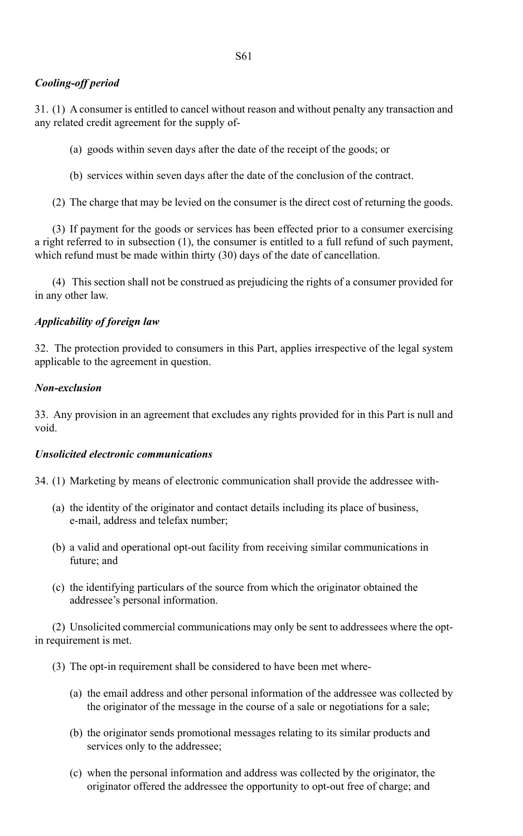## *Cooling-off period*

31. (1) A consumer is entitled to cancel without reason and without penalty any transaction and any related credit agreement for the supply of-

- (a) goods within seven days after the date of the receipt of the goods; or
- (b) services within seven days after the date of the conclusion of the contract.
- (2) The charge that may be levied on the consumer is the direct cost of returning the goods.

(3) If payment for the goods or services has been effected prior to a consumer exercising a right referred to in subsection (1), the consumer is entitled to a full refund of such payment, which refund must be made within thirty (30) days of the date of cancellation.

(4) This section shall not be construed as prejudicing the rights of a consumer provided for in any other law.

## *Applicability of foreign law*

32. The protection provided to consumers in this Part, applies irrespective of the legal system applicable to the agreement in question.

## *Non-exclusion*

33. Any provision in an agreement that excludes any rights provided for in this Part is null and void.

## *Unsolicited electronic communications*

34. (1) Marketing by means of electronic communication shall provide the addressee with-

- (a) the identity of the originator and contact details including its place of business, e-mail, address and telefax number;
- (b) a valid and operational opt-out facility from receiving similar communications in future; and
- (c) the identifying particulars of the source from which the originator obtained the addressee's personal information.

(2) Unsolicited commercial communications may only be sent to addressees where the optin requirement is met.

- (3) The opt-in requirement shall be considered to have been met where-
	- (a) the email address and other personal information of the addressee was collected by the originator of the message in the course of a sale or negotiations for a sale;
	- (b) the originator sends promotional messages relating to its similar products and services only to the addressee;
	- (c) when the personal information and address was collected by the originator, the originator offered the addressee the opportunity to opt-out free of charge; and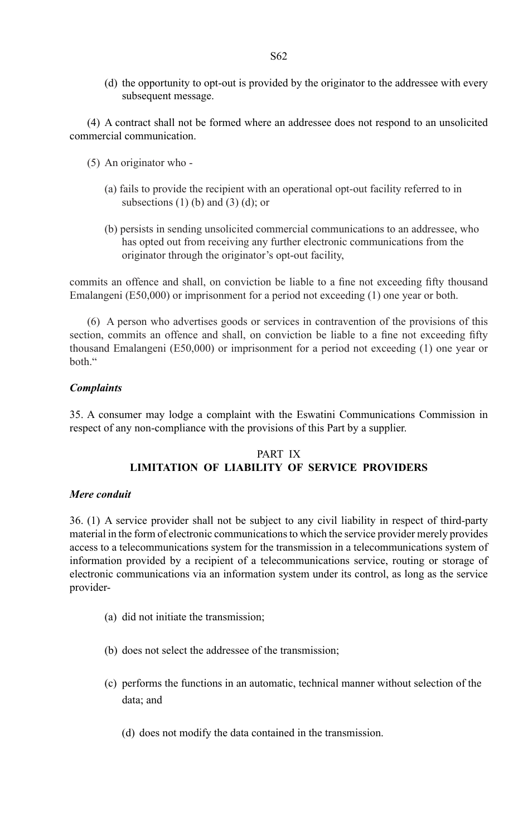(d) the opportunity to opt-out is provided by the originator to the addressee with every subsequent message.

(4) A contract shall not be formed where an addressee does not respond to an unsolicited commercial communication.

- (5) An originator who
	- (a) fails to provide the recipient with an operational opt-out facility referred to in subsections  $(1)$  (b) and  $(3)$  (d); or
	- (b) persists in sending unsolicited commercial communications to an addressee, who has opted out from receiving any further electronic communications from the originator through the originator's opt-out facility,

commits an offence and shall, on conviction be liable to a fine not exceeding fifty thousand Emalangeni (E50,000) or imprisonment for a period not exceeding (1) one year or both.

(6) A person who advertises goods or services in contravention of the provisions of this section, commits an offence and shall, on conviction be liable to a fine not exceeding fifty thousand Emalangeni (E50,000) or imprisonment for a period not exceeding (1) one year or both."

## *Complaints*

35. A consumer may lodge a complaint with the Eswatini Communications Commission in respect of any non-compliance with the provisions of this Part by a supplier.

# PART IX **LIMITATION OF LIABILITY OF SERVICE PROVIDERS**

## *Mere conduit*

36. (1) A service provider shall not be subject to any civil liability in respect of third-party material in the form of electronic communications to which the service provider merely provides access to a telecommunications system for the transmission in a telecommunications system of information provided by a recipient of a telecommunications service, routing or storage of electronic communications via an information system under its control, as long as the service provider-

- (a) did not initiate the transmission;
- (b) does not select the addressee of the transmission;
- (c) performs the functions in an automatic, technical manner without selection of the data; and
	- (d) does not modify the data contained in the transmission.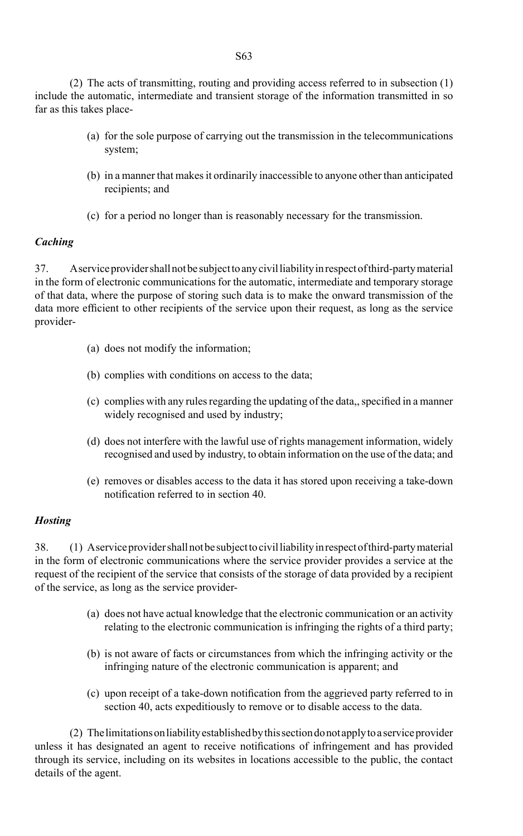(2) The acts of transmitting, routing and providing access referred to in subsection (1) include the automatic, intermediate and transient storage of the information transmitted in so far as this takes place-

- (a) for the sole purpose of carrying out the transmission in the telecommunications system;
- (b) in a manner that makes it ordinarily inaccessible to anyone other than anticipated recipients; and
- (c) for a period no longer than is reasonably necessary for the transmission.

## *Caching*

37. A service provider shall not be subject to any civil liability in respect of third-party material in the form of electronic communications for the automatic, intermediate and temporary storage of that data, where the purpose of storing such data is to make the onward transmission of the data more efficient to other recipients of the service upon their request, as long as the service provider-

- (a) does not modify the information;
- (b) complies with conditions on access to the data;
- $(c)$  complies with any rules regarding the updating of the data,, specified in a manner widely recognised and used by industry;
- (d) does not interfere with the lawful use of rights management information, widely recognised and used by industry, to obtain information on the use of the data; and
- (e) removes or disables access to the data it has stored upon receiving a take-down notification referred to in section 40.

## *Hosting*

38. (1) A service provider shall not be subject to civil liability in respect of third-party material in the form of electronic communications where the service provider provides a service at the request of the recipient of the service that consists of the storage of data provided by a recipient of the service, as long as the service provider-

- (a) does not have actual knowledge that the electronic communication or an activity relating to the electronic communication is infringing the rights of a third party;
- (b) is not aware of facts or circumstances from which the infringing activity or the infringing nature of the electronic communication is apparent; and
- (c) upon receipt of a take-down notification from the aggrieved party referred to in section 40, acts expeditiously to remove or to disable access to the data.

(2) The limitations on liability established by this section do not apply to a service provider unless it has designated an agent to receive notifications of infringement and has provided through its service, including on its websites in locations accessible to the public, the contact details of the agent.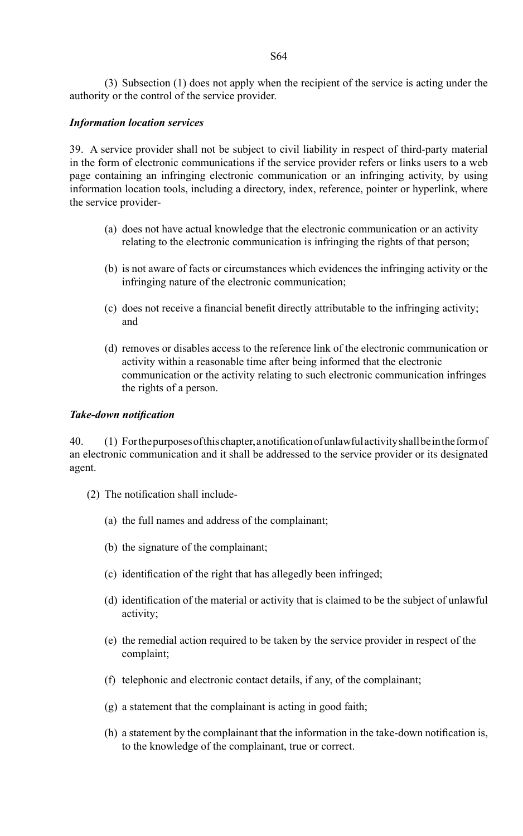(3) Subsection (1) does not apply when the recipient of the service is acting under the authority or the control of the service provider.

## *Information location services*

39. A service provider shall not be subject to civil liability in respect of third-party material in the form of electronic communications if the service provider refers or links users to a web page containing an infringing electronic communication or an infringing activity, by using information location tools, including a directory, index, reference, pointer or hyperlink, where the service provider-

- (a) does not have actual knowledge that the electronic communication or an activity relating to the electronic communication is infringing the rights of that person;
- (b) is not aware of facts or circumstances which evidences the infringing activity or the infringing nature of the electronic communication;
- (c) does not receive a financial benefit directly attributable to the infringing activity; and
- (d) removes or disables access to the reference link of the electronic communication or activity within a reasonable time after being informed that the electronic communication or the activity relating to such electronic communication infringes the rights of a person.

## *Take-down notification*

40. (1) Forthepurposesofthischapter,anotificationofunlawfulactivityshallbeintheformof an electronic communication and it shall be addressed to the service provider or its designated agent.

- (2) The notification shall include-
	- (a) the full names and address of the complainant;
	- (b) the signature of the complainant;
	- (c) identification of the right that has allegedly been infringed;
	- (d) identification of the material or activity that is claimed to be the subject of unlawful activity;
	- (e) the remedial action required to be taken by the service provider in respect of the complaint;
	- (f) telephonic and electronic contact details, if any, of the complainant;
	- (g) a statement that the complainant is acting in good faith;
	- (h) a statement by the complainant that the information in the take-down notification is, to the knowledge of the complainant, true or correct.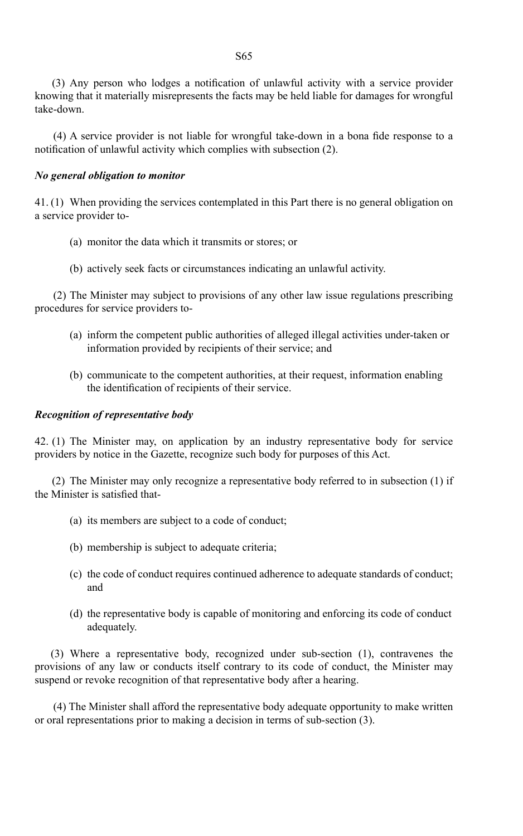(3) Any person who lodges a notification of unlawful activity with a service provider knowing that it materially misrepresents the facts may be held liable for damages for wrongful take-down.

 (4) A service provider is not liable for wrongful take-down in a bona fide response to a notification of unlawful activity which complies with subsection (2).

## *No general obligation to monitor*

41. (1) When providing the services contemplated in this Part there is no general obligation on a service provider to-

- (a) monitor the data which it transmits or stores; or
- (b) actively seek facts or circumstances indicating an unlawful activity.

(2) The Minister may subject to provisions of any other law issue regulations prescribing procedures for service providers to-

- (a) inform the competent public authorities of alleged illegal activities under-taken or information provided by recipients of their service; and
- (b) communicate to the competent authorities, at their request, information enabling the identification of recipients of their service.

## *Recognition of representative body*

42. (1) The Minister may, on application by an industry representative body for service providers by notice in the Gazette, recognize such body for purposes of this Act.

(2) The Minister may only recognize a representative body referred to in subsection (1) if the Minister is satisfied that-

- (a) its members are subject to a code of conduct;
- (b) membership is subject to adequate criteria;
- (c) the code of conduct requires continued adherence to adequate standards of conduct; and
- (d) the representative body is capable of monitoring and enforcing its code of conduct adequately.

(3) Where a representative body, recognized under sub-section (1), contravenes the provisions of any law or conducts itself contrary to its code of conduct, the Minister may suspend or revoke recognition of that representative body after a hearing.

(4) The Minister shall afford the representative body adequate opportunity to make written or oral representations prior to making a decision in terms of sub-section (3).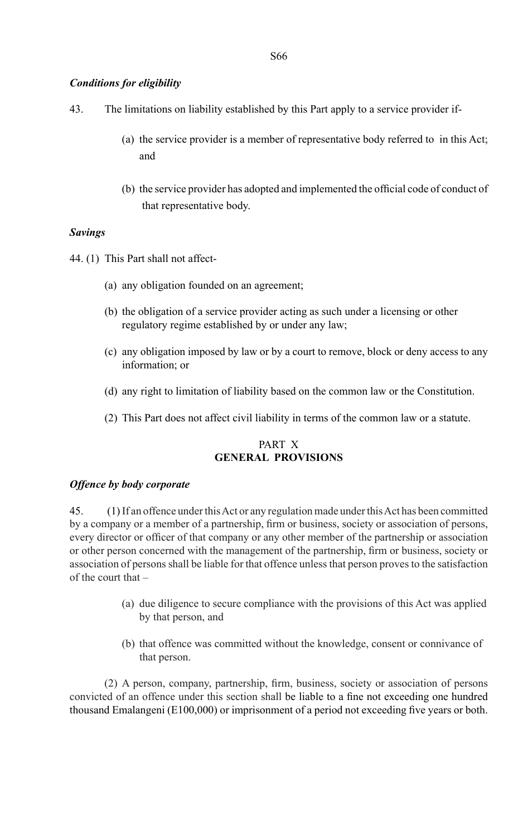## *Conditions for eligibility*

- 43. The limitations on liability established by this Part apply to a service provider if-
	- (a) the service provider is a member of representative body referred to in this Act; and
	- (b) the service provider has adopted and implemented the official code of conduct of that representative body.

## *Savings*

44. (1) This Part shall not affect-

- (a) any obligation founded on an agreement;
- (b) the obligation of a service provider acting as such under a licensing or other regulatory regime established by or under any law;
- (c) any obligation imposed by law or by a court to remove, block or deny access to any information; or
- (d) any right to limitation of liability based on the common law or the Constitution.
- (2) This Part does not affect civil liability in terms of the common law or a statute.

## PART X **GENERAL PROVISIONS**

## *Offence by body corporate*

45. (1)If an offence under this Act or any regulation made under this Act has been committed by a company or a member of a partnership, firm or business, society or association of persons, every director or officer of that company or any other member of the partnership or association or other person concerned with the management of the partnership, firm or business, society or association of persons shall be liable for that offence unless that person proves to the satisfaction of the court that –

- (a) due diligence to secure compliance with the provisions of this Act was applied by that person, and
- (b) that offence was committed without the knowledge, consent or connivance of that person.

 (2) A person, company, partnership, firm, business, society or association of persons convicted of an offence under this section shall be liable to a fine not exceeding one hundred thousand Emalangeni (E100,000) or imprisonment of a period not exceeding five years or both.